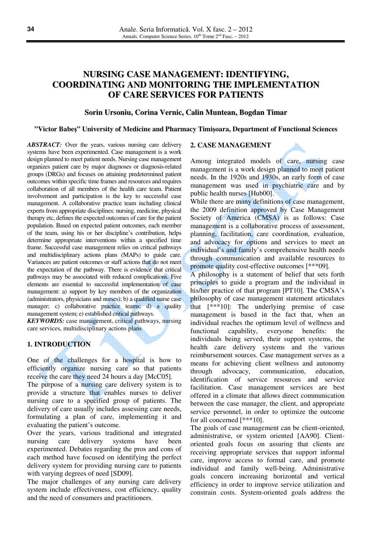# **NURSING CASE MANAGEMENT: IDENTIFYING, COORDINATING AND MONITORING THE IMPLEMENTATION OF CARE SERVICES FOR PATIENTS**

#### **Sorin Ursoniu, Corina Vernic, Calin Muntean, Bogdan Timar**

#### **"Victor Babe**ş**" University of Medicine and Pharmacy Timi**ş**oara, Department of Functional Sciences**

*ABSTRACT:* Over the years, various nursing care delivery systems have been experimented. Case management is a work design planned to meet patient needs. Nursing case management organizes patient care by major diagnoses or diagnosis-related groups (DRGs) and focuses on attaining predetermined patient outcomes within specific time frames and resources and requires collaboration of all members of the health care team. Patient involvement and participation is the key to successful case management. A collaborative practice team including clinical experts from appropriate disciplines: nursing, medicine, physical therapy etc, defines the expected outcomes of care for the patient population. Based on expected patient outcomes, each member of the team, using his or her discipline's contribution, helps determine appropriate interventions within a specified time frame. Successful case management relies on critical pathways and multidisciplinary actions plans (MAPs) to guide care. Variances are patient outcomes or staff actions that do not meet the expectation of the pathway. There is evidence that critical pathways may be associated with reduced complications. Five elements are essential to successful implementation of case management: a) support by key members of the organization (administrators, physicians and nurses); b) a qualified nurse case manager; c) collaborative practice teams; d) a quality management system; e) established critical pathways.

*KEYWORDS:* case management, critical pathways, nursing care services, multidisciplinary actions plans

### **1. INTRODUCTION**

One of the challenges for a hospital is how to efficiently organize nursing care so that patients receive the care they need 24 hours a day [McC05].

The purpose of a nursing care delivery system is to provide a structure that enables nurses to deliver nursing care to a specified group of patients. The delivery of care usually includes assessing care needs, formulating a plan of care, implementing it and evaluating the patient's outcome.

Over the years, various traditional and integrated nursing care delivery systems have been experimented. Debates regarding the pros and cons of each method have focused on identifying the perfect delivery system for providing nursing care to patients with varying degrees of need [SD09].

The major challenges of any nursing care delivery system include effectiveness, cost efficiency, quality and the need of consumers and practitioners.

#### **2. CASE MANAGEMENT**

Among integrated models of care, nursing case management is a work design planned to meet patient needs. In the 1920s and 1930s, an early form of case management was used in psychiatric care and by public health nurses [Hub00].

While there are many definitions of case management, the 2009 definition approved by Case Management Society of America (CMSA) is as follows: Case management is a collaborative process of assessment, planning, facilitation, care coordination, evaluation, and advocacy for options and services to meet an individual's and family's comprehensive health needs through communication and available resources to promote quality cost-effective outcomes [\*\*\*09].

A philosophy is a statement of belief that sets forth principles to guide a program and the individual in his/her practice of that program [PT10]. The CMSA's philosophy of case management statement articulates that [\*\*\*10]: The underlying premise of case management is based in the fact that, when an individual reaches the optimum level of wellness and functional capability, everyone benefits: the individuals being served, their support systems, the health care delivery systems and the various reimbursement sources. Case management serves as a means for achieving client wellness and autonomy through advocacy, communication, education, identification of service resources and service facilitation. Case management services are best offered in a climate that allows direct communication between the case manager, the client, and appropriate service personnel, in order to optimize the outcome for all concerned [\*\*\*10].

The goals of case management can be client-oriented, administrative, or system oriented [AA90]. Clientoriented goals focus on assuring that clients are receiving appropriate services that support informal care, improve access to formal care, and promote individual and family well-being. Administrative goals concern increasing horizontal and vertical efficiency in order to improve service utilization and constrain costs. System-oriented goals address the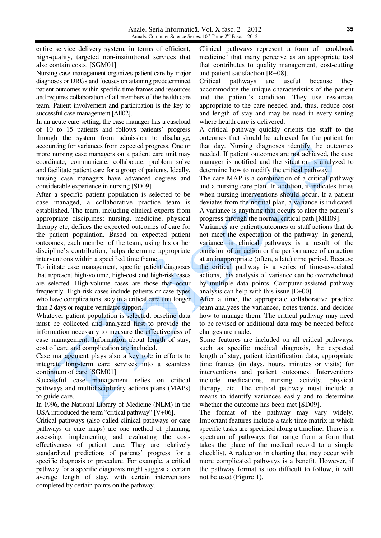entire service delivery system, in terms of efficient, high-quality, targeted non-institutional services that also contain costs. [SGM01]

Nursing case management organizes patient care by major diagnoses or DRGs and focuses on attaining predetermined patient outcomes within specific time frames and resources and requires collaboration of all members of the health care team. Patient involvement and participation is the key to successful case management [All02].

In an acute care setting, the case manager has a caseload of 10 to 15 patients and follows patients' progress through the system from admission to discharge, accounting for variances from expected progress. One or more nursing case managers on a patient care unit may coordinate, communicate, collaborate, problem solve and facilitate patient care for a group of patients. Ideally, nursing case managers have advanced degrees and considerable experience in nursing [SD09].

After a specific patient population is selected to be case managed, a collaborative practice team is established. The team, including clinical experts from appropriate disciplines: nursing, medicine, physical therapy etc, defines the expected outcomes of care for the patient population. Based on expected patient outcomes, each member of the team, using his or her discipline's contribution, helps determine appropriate interventions within a specified time frame.

To initiate case management, specific patient diagnoses that represent high-volume, high-cost and high-risk cases are selected. High-volume cases are those that occur frequently. High-risk cases include patients or case types who have complications, stay in a critical care unit longer than 2 days or require ventilator support.

Whatever patient population is selected, baseline data must be collected and analyzed first to provide the information necessary to measure the effectiveness of case management. Information about length of stay, cost of care and complication are included.

Case management plays also a key role in efforts to integrate long-term care services into a seamless continuum of care [SGM01].

Successful case management relies on critical pathways and multidisciplinary actions plans (MAPs) to guide care.

In 1996, the National Library of Medicine (NLM) in the USA introduced the term "critical pathway" [V+06].

Critical pathways (also called clinical pathways or care pathways or care maps) are one method of planning, assessing, implementing and evaluating the costeffectiveness of patient care. They are relatively standardized predictions of patients' progress for a specific diagnosis or procedure. For example, a critical pathway for a specific diagnosis might suggest a certain average length of stay, with certain interventions completed by certain points on the pathway.

Clinical pathways represent a form of "cookbook medicine" that many perceive as an appropriate tool that contributes to quality management, cost-cutting and patient satisfaction [R+08].

Critical pathways are useful because they accommodate the unique characteristics of the patient and the patient's condition. They use resources appropriate to the care needed and, thus, reduce cost and length of stay and may be used in every setting where health care is delivered.

A critical pathway quickly orients the staff to the outcomes that should be achieved for the patient for that day. Nursing diagnoses identify the outcomes needed. If patient outcomes are not achieved, the case manager is notified and the situation is analyzed to determine how to modify the critical pathway.

The care MAP is a combination of a critical pathway and a nursing care plan. In addition, it indicates times when nursing interventions should occur. If a patient deviates from the normal plan, a variance is indicated. A variance is anything that occurs to alter the patient's progress through the normal critical path [MH09].

Variances are patient outcomes or staff actions that do not meet the expectation of the pathway. In general, variance in clinical pathways is a result of the omission of an action or the performance of an action at an inappropriate (often, a late) time period. Because the critical pathway is a series of time-associated actions, this analysis of variance can be overwhelmed by multiple data points. Computer-assisted pathway analysis can help with this issue [E+00].

After a time, the appropriate collaborative practice team analyzes the variances, notes trends, and decides how to manage them. The critical pathway may need to be revised or additional data may be needed before changes are made.

Some features are included on all critical pathways, such as specific medical diagnosis, the expected length of stay, patient identification data, appropriate time frames (in days, hours, minutes or visits) for interventions and patient outcomes. Interventions include medications, nursing activity, physical therapy, etc. The critical pathway must include a means to identify variances easily and to determine whether the outcome has been met [SD09].

The format of the pathway may vary widely. Important features include a task-time matrix in which specific tasks are specified along a timeline. There is a spectrum of pathways that range from a form that takes the place of the medical record to a simple checklist. A reduction in charting that may occur with more complicated pathways is a benefit. However, if the pathway format is too difficult to follow, it will not be used (Figure 1).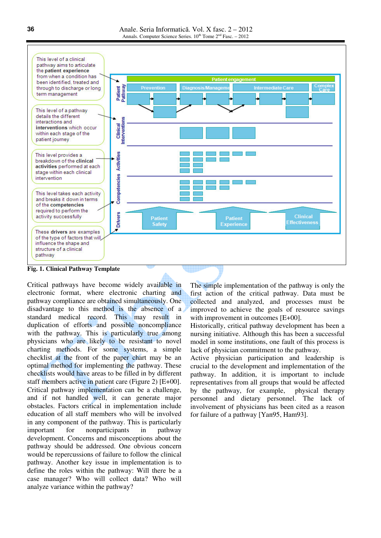

Critical pathways have become widely available in electronic format, where electronic charting and pathway compliance are obtained simultaneously. One disadvantage to this method is the absence of a standard medical record. This may result in duplication of efforts and possible noncompliance with the pathway. This is particularly true among physicians who are likely to be resistant to novel charting methods. For some systems, a simple checklist at the front of the paper chart may be an optimal method for implementing the pathway. These checklists would have areas to be filled in by different staff members active in patient care (Figure 2) [E+00]. Critical pathway implementation can be a challenge, and if not handled well, it can generate major obstacles. Factors critical in implementation include education of all staff members who will be involved in any component of the pathway. This is particularly important for nonparticipants in pathway development. Concerns and misconceptions about the pathway should be addressed. One obvious concern would be repercussions of failure to follow the clinical pathway. Another key issue in implementation is to define the roles within the pathway: Will there be a case manager? Who will collect data? Who will analyze variance within the pathway?

The simple implementation of the pathway is only the first action of the critical pathway. Data must be collected and analyzed, and processes must be improved to achieve the goals of resource savings with improvement in outcomes [E+00].

Historically, critical pathway development has been a nursing initiative. Although this has been a successful model in some institutions, one fault of this process is lack of physician commitment to the pathway.

Active physician participation and leadership is crucial to the development and implementation of the pathway. In addition, it is important to include representatives from all groups that would be affected by the pathway, for example, physical therapy personnel and dietary personnel. The lack of involvement of physicians has been cited as a reason for failure of a pathway [Yan95, Ham93].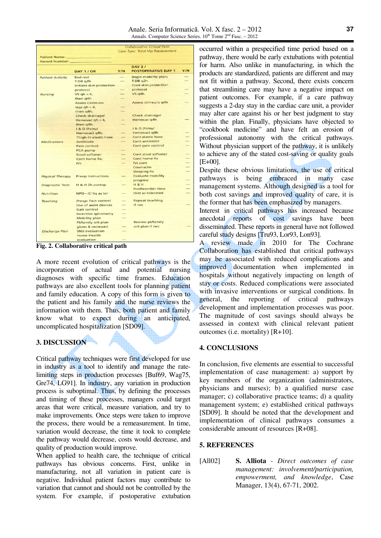|                         | <b>Collaborative Critical Path</b> |                                  |                               |     |
|-------------------------|------------------------------------|----------------------------------|-------------------------------|-----|
|                         |                                    | Case Type: Total Hip Replacement |                               |     |
| <b>Patient Name:</b>    |                                    |                                  |                               |     |
| Record Number:          |                                    |                                  |                               |     |
|                         |                                    |                                  | <b>DAY 2/</b>                 |     |
|                         | DAY 1 / OR                         | Y/N                              | <b>POSTOPERATIVE DAY 1</b>    | Y/N |
|                         |                                    |                                  |                               |     |
| <b>Patient Activity</b> | <b>Bed rest</b>                    | --                               | Begin mobility plan;          |     |
|                         | $T-DBq2h$                          |                                  | T-DB q2h                      |     |
|                         | Initiate skin protection           |                                  | Cont skin protection          |     |
|                         | protocol                           |                                  | protocol                      |     |
| <b>Nursing</b>          | VS ah $\times$ 4,                  |                                  | $VS$ $q4h$                    |     |
|                         | then g4h                           |                                  |                               |     |
|                         | Assess cir/neuro                   |                                  | Assess cir/neuro q4h          |     |
|                         | leas $ah \times 4$ ,               |                                  |                               |     |
|                         | then q4h;                          |                                  |                               |     |
|                         | Check drainage/                    |                                  | Check drainage/               |     |
|                         | Hemovac gh $\times$ 4,             |                                  | Hemovac q4h                   |     |
|                         | then q4h;                          |                                  |                               |     |
|                         | I & O (Foley/                      |                                  | I & O (Foley/                 |     |
|                         | Hemovac) q8h;                      |                                  | Hemovac) q8h                  |     |
|                         | Thigh-hi elastic hose              | --                               | Cont elastic hose             |     |
| <b>Medications</b>      | Antibiotic                         |                                  | Cont antibiotic               |     |
|                         | Pain control:                      |                                  | Cont pain control             |     |
|                         | PCA pump                           |                                  |                               |     |
|                         | Stool softener                     |                                  | Cont stool softener           |     |
|                         | Cont home Rx:                      |                                  | Cont home Rx                  |     |
|                         | IVs                                |                                  | IVs cont                      |     |
|                         |                                    |                                  | Coumadin                      |     |
|                         |                                    |                                  | <b>Sleeping Rx</b>            |     |
| <b>Physical Therapy</b> | <b>Preop instructions</b>          |                                  | <b>Evaluate mobility</b>      |     |
|                         |                                    |                                  | progress                      |     |
| <b>Diagnostic Tests</b> | H & H 2h postop                    |                                  | $H$ & $H$<br>Prothrombin time |     |
|                         |                                    |                                  | Diet as tolerated             |     |
| Nutrition               | NPO-CI liq as tol                  |                                  |                               |     |
| <b>Teaching</b>         | Preop: Pain control                |                                  | <b>Repeat teaching</b>        |     |
|                         | Use of assist devices              |                                  | if nec                        |     |
|                         | Gait control                       |                                  |                               |     |
|                         | <b>Incentive spirometry</b>        |                                  |                               |     |
|                         | <b>Mobility plan</b>               |                                  |                               |     |
|                         | Pt/family crit plan                |                                  | <b>Review pt/family</b>       |     |
|                         | given & reviewed                   |                                  | crit plan if nec              |     |
| <b>Discharge Plan</b>   | <b>SNU</b> evaluation              |                                  |                               |     |
|                         | <b>Home Health</b>                 |                                  |                               |     |
|                         | evaluation                         |                                  |                               |     |
|                         |                                    |                                  |                               |     |

**Fig. 2. Collaborative critical path** 

A more recent evolution of critical pathways is the incorporation of actual and potential nursing diagnoses with specific time frames. Education pathways are also excellent tools for planning patient and family education. A copy of this form is given to the patient and his family and the nurse reviews the information with them. Thus, both patient and family know what to expect during an anticipated, uncomplicated hospitalization [SD09].

## **3. DISCUSSION**

Critical pathway techniques were first developed for use in industry as a tool to identify and manage the ratelimiting steps in production processes [Buf69, Wag75, Gre74, LG91]. In industry, any variation in production process is suboptimal. Thus, by defining the processes and timing of these processes, managers could target areas that were critical, measure variation, and try to make improvements. Once steps were taken to improve the process, there would be a remeasurement. In time, variation would decrease, the time it took to complete the pathway would decrease, costs would decrease, and quality of production would improve.

When applied to health care, the technique of critical pathways has obvious concerns. First, unlike in manufacturing, not all variation in patient care is negative. Individual patient factors may contribute to variation that cannot and should not be controlled by the system. For example, if postoperative extubation

occurred within a prespecified time period based on a pathway, there would be early extubations with potential for harm. Also unlike in manufacturing, in which the products are standardized, patients are different and may not fit within a pathway. Second, there exists concern that streamlining care may have a negative impact on patient outcomes. For example, if a care pathway suggests a 2-day stay in the cardiac care unit, a provider may alter care against his or her best judgment to stay within the plan. Finally, physicians have objected to "cookbook medicine" and have felt an erosion of professional autonomy with the critical pathways. Without physician support of the pathway, it is unlikely to achieve any of the stated cost-saving or quality goals [E+00].

Despite these obvious limitations, the use of critical pathways is being embraced in many case management systems. Although designed as a tool for both cost savings and improved quality of care, it is the former that has been emphasized by managers.

Interest in critical pathways has increased because anecdotal reports of cost savings have been disseminated. These reports in general have not followed careful study designs [Tru93, Lor93, Lon93].

A review made in 2010 for The Cochrane Collaboration has established that critical pathways may be associated with reduced complications and improved documentation when implemented in hospitals without negatively impacting on length of stay or costs. Reduced complications were associated with invasive interventions or surgical conditions. In general, the reporting of critical pathways development and implementation processes was poor. The magnitude of cost savings should always be assessed in context with clinical relevant patient outcomes (i.e. mortality) [R+10].

## **4. CONCLUSIONS**

In conclusion, five elements are essential to successful implementation of case management: a) support by key members of the organization (administrators, physicians and nurses); b) a qualified nurse case manager; c) collaborative practice teams; d) a quality management system; e) established critical pathways [SD09]. It should be noted that the development and implementation of clinical pathways consumes a considerable amount of resources [R+08].

## **5. REFERENCES**

[All02] **S. Alliota** - *Direct outcomes of case management: involvement/participation, empowerment, and knowledge*, Case Manager, 13(4), 67-71, 2002.